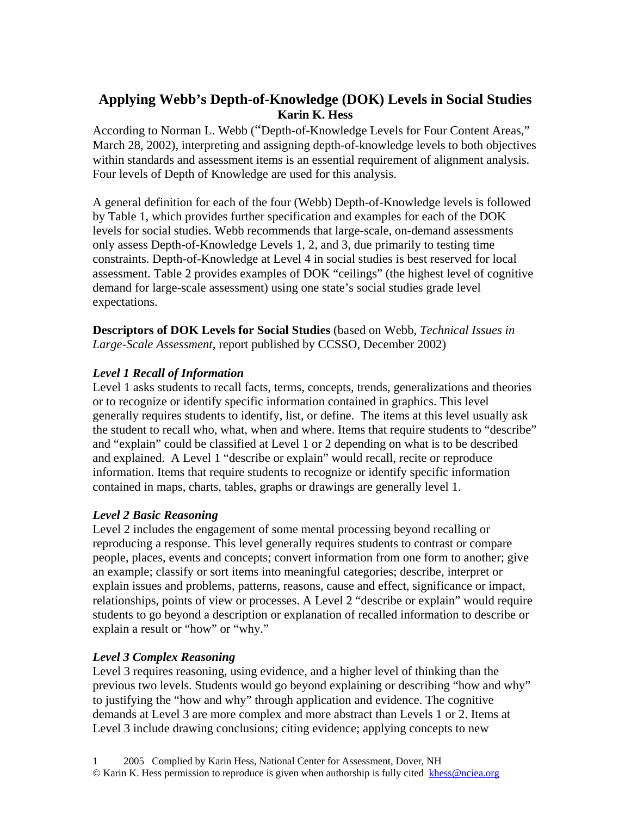# **Applying Webb's Depth-of-Knowledge (DOK) Levels in Social Studies Karin K. Hess**

According to Norman L. Webb ("Depth-of-Knowledge Levels for Four Content Areas," March 28, 2002), interpreting and assigning depth-of-knowledge levels to both objectives within standards and assessment items is an essential requirement of alignment analysis. Four levels of Depth of Knowledge are used for this analysis.

A general definition for each of the four (Webb) Depth-of-Knowledge levels is followed by Table 1, which provides further specification and examples for each of the DOK levels for social studies. Webb recommends that large-scale, on-demand assessments only assess Depth-of-Knowledge Levels 1, 2, and 3, due primarily to testing time constraints. Depth-of-Knowledge at Level 4 in social studies is best reserved for local assessment. Table 2 provides examples of DOK "ceilings" (the highest level of cognitive demand for large-scale assessment) using one state's social studies grade level expectations.

**Descriptors of DOK Levels for Social Studies** (based on Webb, *Technical Issues in Large-Scale Assessment*, report published by CCSSO, December 2002)

# *Level 1 Recall of Information*

Level 1 asks students to recall facts, terms, concepts, trends, generalizations and theories or to recognize or identify specific information contained in graphics. This level generally requires students to identify, list, or define. The items at this level usually ask the student to recall who, what, when and where. Items that require students to "describe" and "explain" could be classified at Level 1 or 2 depending on what is to be described and explained. A Level 1 "describe or explain" would recall, recite or reproduce information. Items that require students to recognize or identify specific information contained in maps, charts, tables, graphs or drawings are generally level 1.

# *Level 2 Basic Reasoning*

Level 2 includes the engagement of some mental processing beyond recalling or reproducing a response. This level generally requires students to contrast or compare people, places, events and concepts; convert information from one form to another; give an example; classify or sort items into meaningful categories; describe, interpret or explain issues and problems, patterns, reasons, cause and effect, significance or impact, relationships, points of view or processes. A Level 2 "describe or explain" would require students to go beyond a description or explanation of recalled information to describe or explain a result or "how" or "why."

# *Level 3 Complex Reasoning*

Level 3 requires reasoning, using evidence, and a higher level of thinking than the previous two levels. Students would go beyond explaining or describing "how and why" to justifying the "how and why" through application and evidence. The cognitive demands at Level 3 are more complex and more abstract than Levels 1 or 2. Items at Level 3 include drawing conclusions; citing evidence; applying concepts to new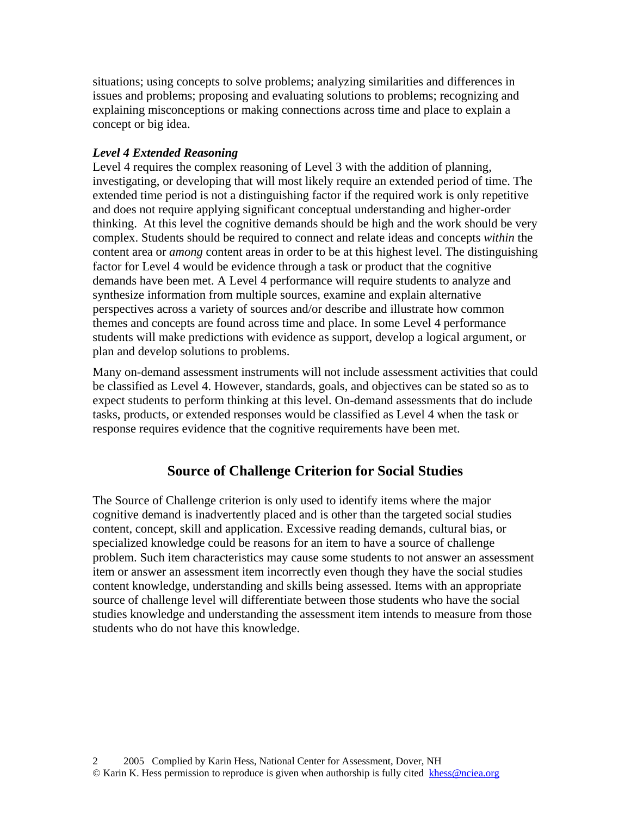situations; using concepts to solve problems; analyzing similarities and differences in issues and problems; proposing and evaluating solutions to problems; recognizing and explaining misconceptions or making connections across time and place to explain a concept or big idea.

#### *Level 4 Extended Reasoning*

Level 4 requires the complex reasoning of Level 3 with the addition of planning, investigating, or developing that will most likely require an extended period of time. The extended time period is not a distinguishing factor if the required work is only repetitive and does not require applying significant conceptual understanding and higher-order thinking. At this level the cognitive demands should be high and the work should be very complex. Students should be required to connect and relate ideas and concepts *within* the content area or *among* content areas in order to be at this highest level. The distinguishing factor for Level 4 would be evidence through a task or product that the cognitive demands have been met. A Level 4 performance will require students to analyze and synthesize information from multiple sources, examine and explain alternative perspectives across a variety of sources and/or describe and illustrate how common themes and concepts are found across time and place. In some Level 4 performance students will make predictions with evidence as support, develop a logical argument, or plan and develop solutions to problems.

Many on-demand assessment instruments will not include assessment activities that could be classified as Level 4. However, standards, goals, and objectives can be stated so as to expect students to perform thinking at this level. On-demand assessments that do include tasks, products, or extended responses would be classified as Level 4 when the task or response requires evidence that the cognitive requirements have been met.

# **Source of Challenge Criterion for Social Studies**

The Source of Challenge criterion is only used to identify items where the major cognitive demand is inadvertently placed and is other than the targeted social studies content, concept, skill and application. Excessive reading demands, cultural bias, or specialized knowledge could be reasons for an item to have a source of challenge problem. Such item characteristics may cause some students to not answer an assessment item or answer an assessment item incorrectly even though they have the social studies content knowledge, understanding and skills being assessed. Items with an appropriate source of challenge level will differentiate between those students who have the social studies knowledge and understanding the assessment item intends to measure from those students who do not have this knowledge.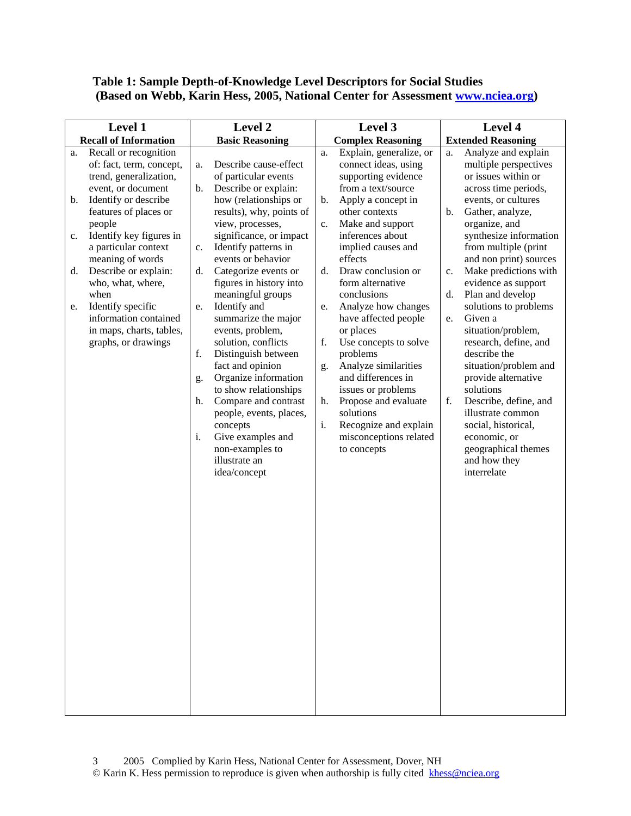# **Table 1: Sample Depth-of-Knowledge Level Descriptors for Social Studies (Based on Webb, Karin Hess, 2005, National Center for Assessment [www.nciea.org\)](http://www.nciea.org/)**

| Level 1 |                              | Level 2                |                          | Level 3                  |                         | Level 4                   |                        |
|---------|------------------------------|------------------------|--------------------------|--------------------------|-------------------------|---------------------------|------------------------|
|         | <b>Recall of Information</b> | <b>Basic Reasoning</b> |                          | <b>Complex Reasoning</b> |                         | <b>Extended Reasoning</b> |                        |
| a.      | Recall or recognition        |                        |                          | a.                       | Explain, generalize, or | a.                        | Analyze and explain    |
|         | of: fact, term, concept,     | a.                     | Describe cause-effect    |                          | connect ideas, using    |                           | multiple perspectives  |
|         | trend, generalization,       |                        | of particular events     |                          | supporting evidence     |                           | or issues within or    |
|         | event, or document           | b.                     | Describe or explain:     |                          | from a text/source      |                           | across time periods,   |
| b.      | Identify or describe         |                        | how (relationships or    | b.                       | Apply a concept in      |                           | events, or cultures    |
|         | features of places or        |                        | results), why, points of |                          | other contexts          | b.                        | Gather, analyze,       |
|         | people                       |                        | view, processes,         | c.                       | Make and support        |                           | organize, and          |
| c.      | Identify key figures in      |                        | significance, or impact  |                          | inferences about        |                           | synthesize information |
|         | a particular context         | c.                     | Identify patterns in     |                          | implied causes and      |                           | from multiple (print   |
|         | meaning of words             |                        | events or behavior       |                          | effects                 |                           | and non print) sources |
| d.      | Describe or explain:         | d.                     | Categorize events or     | d.                       | Draw conclusion or      | c.                        | Make predictions with  |
|         | who, what, where,            |                        | figures in history into  |                          | form alternative        |                           | evidence as support    |
|         | when                         |                        | meaningful groups        |                          | conclusions             | d.                        | Plan and develop       |
| e.      | Identify specific            | e.                     | Identify and             | e.                       | Analyze how changes     |                           | solutions to problems  |
|         | information contained        |                        | summarize the major      |                          | have affected people    | e.                        | Given a                |
|         | in maps, charts, tables,     |                        | events, problem,         |                          | or places               |                           | situation/problem,     |
|         | graphs, or drawings          |                        | solution, conflicts      | f.                       | Use concepts to solve   |                           | research, define, and  |
|         |                              | f.                     | Distinguish between      |                          | problems                |                           | describe the           |
|         |                              |                        | fact and opinion         | g.                       | Analyze similarities    |                           | situation/problem and  |
|         |                              | g.                     | Organize information     |                          | and differences in      |                           | provide alternative    |
|         |                              |                        | to show relationships    |                          | issues or problems      |                           | solutions              |
|         |                              | h.                     | Compare and contrast     | h.                       | Propose and evaluate    | f.                        | Describe, define, and  |
|         |                              |                        | people, events, places,  |                          | solutions               |                           | illustrate common      |
|         |                              |                        | concepts                 | i.                       | Recognize and explain   |                           | social, historical,    |
|         |                              | i.                     | Give examples and        |                          | misconceptions related  |                           | economic, or           |
|         |                              |                        | non-examples to          |                          | to concepts             |                           | geographical themes    |
|         |                              |                        | illustrate an            |                          |                         |                           | and how they           |
|         |                              |                        | idea/concept             |                          |                         |                           | interrelate            |
|         |                              |                        |                          |                          |                         |                           |                        |
|         |                              |                        |                          |                          |                         |                           |                        |
|         |                              |                        |                          |                          |                         |                           |                        |
|         |                              |                        |                          |                          |                         |                           |                        |
|         |                              |                        |                          |                          |                         |                           |                        |
|         |                              |                        |                          |                          |                         |                           |                        |
|         |                              |                        |                          |                          |                         |                           |                        |
|         |                              |                        |                          |                          |                         |                           |                        |
|         |                              |                        |                          |                          |                         |                           |                        |
|         |                              |                        |                          |                          |                         |                           |                        |
|         |                              |                        |                          |                          |                         |                           |                        |
|         |                              |                        |                          |                          |                         |                           |                        |
|         |                              |                        |                          |                          |                         |                           |                        |
|         |                              |                        |                          |                          |                         |                           |                        |
|         |                              |                        |                          |                          |                         |                           |                        |
|         |                              |                        |                          |                          |                         |                           |                        |
|         |                              |                        |                          |                          |                         |                           |                        |
|         |                              |                        |                          |                          |                         |                           |                        |
|         |                              |                        |                          |                          |                         |                           |                        |
|         |                              |                        |                          |                          |                         |                           |                        |